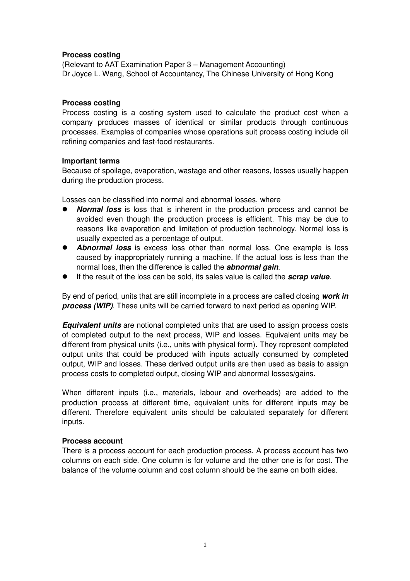### **Process costing**

(Relevant to AAT Examination Paper 3 – Management Accounting) Dr Joyce L. Wang, School of Accountancy, The Chinese University of Hong Kong

### **Process costing**

Process costing is a costing system used to calculate the product cost when a company produces masses of identical or similar products through continuous processes. Examples of companies whose operations suit process costing include oil refining companies and fast-food restaurants.

### **Important terms**

Because of spoilage, evaporation, wastage and other reasons, losses usually happen during the production process.

Losses can be classified into normal and abnormal losses, where

- **Normal loss** is loss that is inherent in the production process and cannot be avoided even though the production process is efficient. This may be due to reasons like evaporation and limitation of production technology. Normal loss is usually expected as a percentage of output.
- **Abnormal loss** is excess loss other than normal loss. One example is loss caused by inappropriately running a machine. If the actual loss is less than the normal loss, then the difference is called the **abnormal gain**.
- If the result of the loss can be sold, its sales value is called the **scrap value**.

By end of period, units that are still incomplete in a process are called closing **work in process (WIP)**. These units will be carried forward to next period as opening WIP.

**Equivalent units** are notional completed units that are used to assign process costs of completed output to the next process, WIP and losses. Equivalent units may be different from physical units (i.e., units with physical form). They represent completed output units that could be produced with inputs actually consumed by completed output, WIP and losses. These derived output units are then used as basis to assign process costs to completed output, closing WIP and abnormal losses/gains.

When different inputs (i.e., materials, labour and overheads) are added to the production process at different time, equivalent units for different inputs may be different. Therefore equivalent units should be calculated separately for different inputs.

### **Process account**

There is a process account for each production process. A process account has two columns on each side. One column is for volume and the other one is for cost. The balance of the volume column and cost column should be the same on both sides.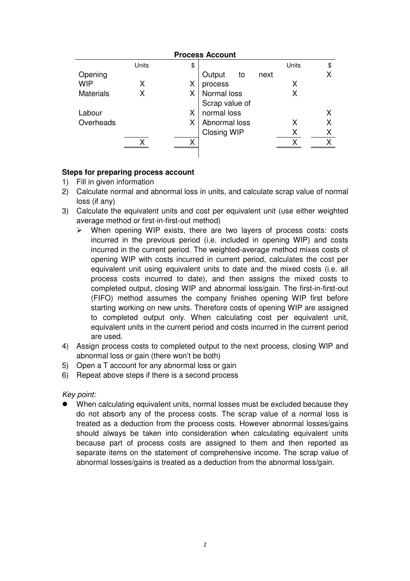| <b>Process Account</b> |              |    |                |    |      |              |    |
|------------------------|--------------|----|----------------|----|------|--------------|----|
|                        | <b>Units</b> | \$ |                |    |      | <b>Units</b> | \$ |
| Opening                |              |    | Output         | to | next |              |    |
| <b>WIP</b>             | x            |    | process        |    |      | Χ            |    |
| <b>Materials</b>       |              | X. | Normal loss    |    |      |              |    |
|                        |              |    | Scrap value of |    |      |              |    |
| Labour                 |              |    | normal loss    |    |      |              | x  |
| Overheads              |              |    | Abnormal loss  |    |      | x            |    |
|                        |              |    | Closing WIP    |    |      | Χ            | Х  |
|                        | x            | Х  |                |    |      | x            |    |
|                        |              |    |                |    |      |              |    |

# **Steps for preparing process account**

- 1) Fill in given information
- 2) Calculate normal and abnormal loss in units, and calculate scrap value of normal loss (if any)
- 3) Calculate the equivalent units and cost per equivalent unit (use either weighted average method or first-in-first-out method)
	- $\blacktriangleright$  When opening WIP exists, there are two layers of process costs: costs incurred in the previous period (i.e. included in opening WIP) and costs incurred in the current period. The weighted-average method mixes costs of opening WIP with costs incurred in current period, calculates the cost per equivalent unit using equivalent units to date and the mixed costs (i.e. all process costs incurred to date), and then assigns the mixed costs to completed output, closing WIP and abnormal loss/gain. The first-in-first-out (FIFO) method assumes the company finishes opening WIP first before starting working on new units. Therefore costs of opening WIP are assigned to completed output only. When calculating cost per equivalent unit, equivalent units in the current period and costs incurred in the current period are used.
- 4) Assign process costs to completed output to the next process, closing WIP and abnormal loss or gain (there won't be both)
- 5) Open a T account for any abnormal loss or gain
- 6) Repeat above steps if there is a second process

Key point:

When calculating equivalent units, normal losses must be excluded because they do not absorb any of the process costs. The scrap value of a normal loss is treated as a deduction from the process costs. However abnormal losses/gains should always be taken into consideration when calculating equivalent units because part of process costs are assigned to them and then reported as separate items on the statement of comprehensive income. The scrap value of abnormal losses/gains is treated as a deduction from the abnormal loss/gain.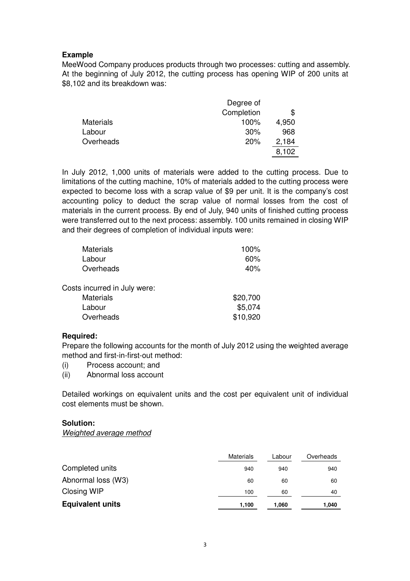# **Example**

MeeWood Company produces products through two processes: cutting and assembly. At the beginning of July 2012, the cutting process has opening WIP of 200 units at \$8,102 and its breakdown was:

|                  | Degree of  |       |
|------------------|------------|-------|
|                  | Completion | \$    |
| <b>Materials</b> | 100%       | 4,950 |
| Labour           | 30%        | 968   |
| Overheads        | 20%        | 2,184 |
|                  |            | 8,102 |

In July 2012, 1,000 units of materials were added to the cutting process. Due to limitations of the cutting machine, 10% of materials added to the cutting process were expected to become loss with a scrap value of \$9 per unit. It is the company's cost accounting policy to deduct the scrap value of normal losses from the cost of materials in the current process. By end of July, 940 units of finished cutting process were transferred out to the next process: assembly. 100 units remained in closing WIP and their degrees of completion of individual inputs were:

| <b>Materials</b>             | 100%     |
|------------------------------|----------|
| Labour                       | 60%      |
| Overheads                    | 40%      |
| Costs incurred in July were: |          |
| <b>Materials</b>             | \$20,700 |
| Labour                       | \$5,074  |
| Overheads                    | \$10,920 |

### **Required:**

Prepare the following accounts for the month of July 2012 using the weighted average method and first-in-first-out method:

- (i) Process account; and
- (ii) Abnormal loss account

Detailed workings on equivalent units and the cost per equivalent unit of individual cost elements must be shown.

### **Solution:**

Weighted average method

|                         | <b>Materials</b> | Labour | Overheads |
|-------------------------|------------------|--------|-----------|
| Completed units         | 940              | 940    | 940       |
| Abnormal loss (W3)      | 60               | 60     | 60        |
| Closing WIP             | 100              | 60     | 40        |
| <b>Equivalent units</b> | 1,100            | 1,060  | 1,040     |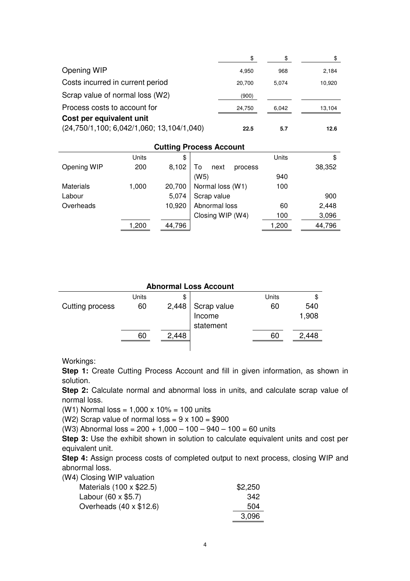|                                                                       |        | \$    |        |
|-----------------------------------------------------------------------|--------|-------|--------|
| Opening WIP                                                           | 4.950  | 968   | 2,184  |
| Costs incurred in current period                                      | 20,700 | 5.074 | 10,920 |
| Scrap value of normal loss (W2)                                       | (900)  |       |        |
| Process costs to account for                                          | 24,750 | 6,042 | 13,104 |
| Cost per equivalent unit<br>(24,750/1,100; 6,042/1,060; 13,104/1,040) | 22.5   | 5.7   | 12.6   |

| <b>Cutting Process Account</b> |              |        |                       |              |        |  |
|--------------------------------|--------------|--------|-----------------------|--------------|--------|--|
|                                | <b>Units</b> | \$     |                       | <b>Units</b> | \$     |  |
| Opening WIP                    | 200          | 8,102  | To<br>next<br>process |              | 38,352 |  |
|                                |              |        | (W5)                  | 940          |        |  |
| Materials                      | 1,000        | 20,700 | Normal loss (W1)      | 100          |        |  |
| Labour                         |              | 5,074  | Scrap value           |              | 900    |  |
| Overheads                      |              | 10,920 | Abnormal loss         | 60           | 2,448  |  |
|                                |              |        | Closing WIP (W4)      | 100          | 3,096  |  |
|                                | 1,200        | 44,796 |                       | 1,200        | 44,796 |  |

| <b>Abnormal Loss Account</b> |       |       |             |       |       |  |
|------------------------------|-------|-------|-------------|-------|-------|--|
|                              | Units | \$    |             | Units | \$    |  |
| Cutting process              | 60    | 2,448 | Scrap value | 60    | 540   |  |
|                              |       |       | Income      |       | 1,908 |  |
|                              |       |       | statement   |       |       |  |
|                              | 60    | 2,448 |             | 60    | 2,448 |  |
|                              |       |       |             |       |       |  |

Workings:

**Step 1:** Create Cutting Process Account and fill in given information, as shown in solution.

**Step 2:** Calculate normal and abnormal loss in units, and calculate scrap value of normal loss.

(W1) Normal loss =  $1,000 \times 10\% = 100$  units

(W2) Scrap value of normal loss =  $9 \times 100 = $900$ 

(W3) Abnormal  $loss = 200 + 1,000 - 100 - 940 - 100 = 60$  units

**Step 3:** Use the exhibit shown in solution to calculate equivalent units and cost per equivalent unit.

**Step 4:** Assign process costs of completed output to next process, closing WIP and abnormal loss.

(W4) Closing WIP valuation

| Materials (100 x \$22.5) | \$2,250 |
|--------------------------|---------|
| Labour (60 x \$5.7)      | 342     |
| Overheads (40 x \$12.6)  | 504     |
|                          | 3,096   |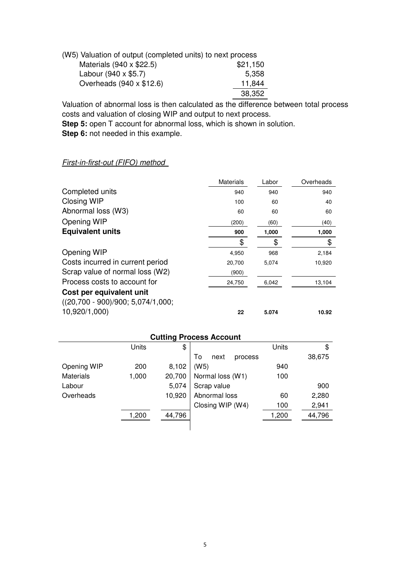| (W5) Valuation of output (completed units) to next process |          |
|------------------------------------------------------------|----------|
| Materials (940 x \$22.5)                                   | \$21,150 |
| Labour (940 x \$5.7)                                       | 5.358    |
| Overheads (940 x \$12.6)                                   | 11,844   |
|                                                            | 38,352   |

Valuation of abnormal loss is then calculated as the difference between total process costs and valuation of closing WIP and output to next process.

**Step 5:** open T account for abnormal loss, which is shown in solution. **Step 6:** not needed in this example.

# First-in-first-out (FIFO) method

|                                                                    | <b>Materials</b> | Labor | Overheads |
|--------------------------------------------------------------------|------------------|-------|-----------|
| Completed units                                                    | 940              | 940   | 940       |
| <b>Closing WIP</b>                                                 | 100              | 60    | 40        |
| Abnormal loss (W3)                                                 | 60               | 60    | 60        |
| Opening WIP                                                        | (200)            | (60)  | (40)      |
| <b>Equivalent units</b>                                            | 900              | 1,000 | 1,000     |
|                                                                    | \$               | \$    | \$        |
| Opening WIP                                                        | 4,950            | 968   | 2,184     |
| Costs incurred in current period                                   | 20,700           | 5,074 | 10,920    |
| Scrap value of normal loss (W2)                                    | (900)            |       |           |
| Process costs to account for                                       | 24,750           | 6,042 | 13,104    |
| Cost per equivalent unit<br>$((20, 700 - 900)/900; 5, 074/1, 000;$ |                  |       |           |
| 10,920/1,000)                                                      | 22               | 5.074 | 10.92     |

| <b>Cutting Process Account</b> |       |        |                       |       |        |  |
|--------------------------------|-------|--------|-----------------------|-------|--------|--|
|                                | Units | \$     |                       | Units | \$     |  |
|                                |       |        | To<br>next<br>process |       | 38,675 |  |
| Opening WIP                    | 200   | 8,102  | (W5)                  | 940   |        |  |
| <b>Materials</b>               | 1,000 | 20,700 | Normal loss (W1)      | 100   |        |  |
| Labour                         |       | 5,074  | Scrap value           |       | 900    |  |
| Overheads                      |       | 10,920 | Abnormal loss         | 60    | 2,280  |  |
|                                |       |        | Closing WIP (W4)      | 100   | 2,941  |  |
|                                | 1,200 | 44,796 |                       | 1,200 | 44,796 |  |
|                                |       |        |                       |       |        |  |